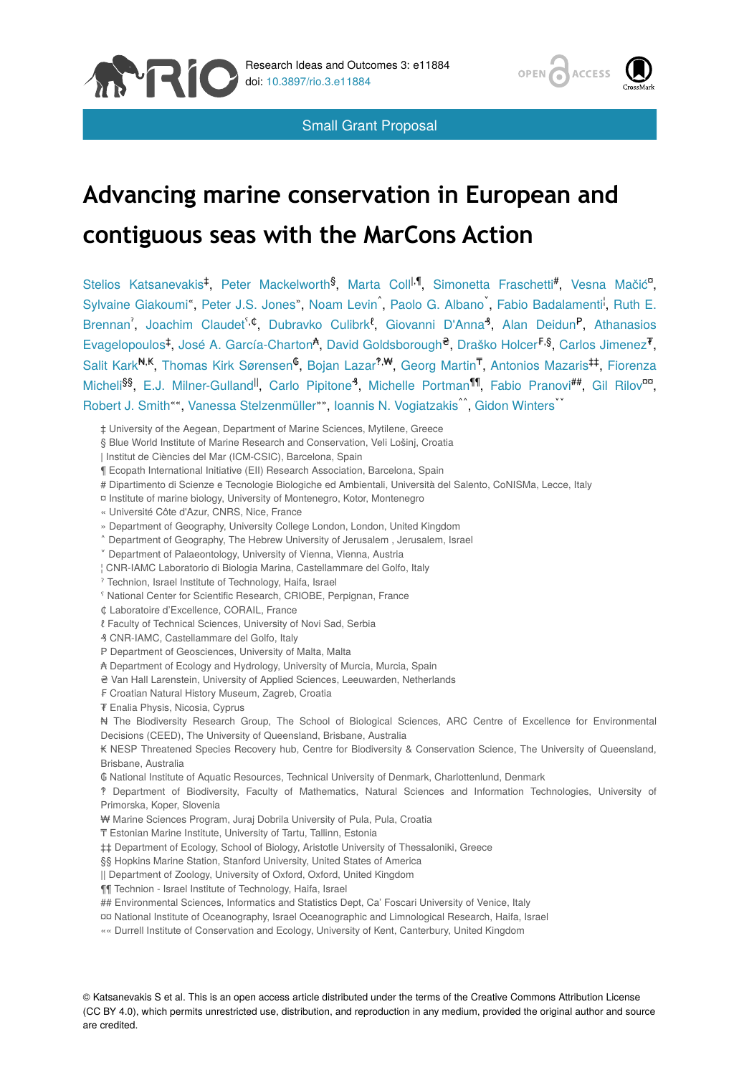





# **Advancing marine conservation in European and contiguous seas with the MarCons Action**

Stelios Katsanevakis<sup>‡</sup>, Peter Mackelworth<sup>§</sup>, Marta Coll<sup>I, ¶</sup>, Simonetta Fraschetti<sup>#</sup>, Vesna Mačić<sup>o</sup>, Sylvaine Giakoumi", Peter J.S. Jones", Noam Levin<sup>\*</sup>, Paolo G. Albano<sup>\*</sup>, Fabio Badalamenti<sup>1</sup>, Ruth E. Brennan', Joachim Claudet<sup>5, ¢</sup>, Dubravko Culibrk<sup>e</sup>, Giovanni D'Anna<sup>9</sup>, Alan Deidun<sup>P</sup>, Athanasios Evagelopoulos<sup>‡</sup>, José A. García-Charton<sup>4</sup>, David Goldsborough<sup>e</sup>, Draško Holcer<sup>F,§</sup>, Carlos Jimenez<sup>7</sup>, Salit Kark <sup>N, K</sup>, Thomas Kirk Sørensen <sup>6</sup>, Bojan Lazar<sup>?,₩</sup>, Georg Martin<sup>T</sup>, Antonios Mazaris#, Fiorenza Micheli<sup>§§</sup>, E.J. Milner-Gulland<sup>II</sup>, Carlo Pipitone<sup>3</sup>, Michelle Portman<sup>11</sup>, Fabio Pranovi<sup>##</sup>, Gil Rilov<sup>oo</sup>, Robert J. Smith"", Vanessa Stelzenmüller"", Ioannis N. Vogiatzakis<sup>^^</sup>, Gidon Winters

‡ University of the Aegean, Department of Marine Sciences, Mytilene, Greece

§ Blue World Institute of Marine Research and Conservation, Veli Lošinj, Croatia

| Institut de Ciències del Mar (ICM-CSIC), Barcelona, Spain

¶ Ecopath International Initiative (EII) Research Association, Barcelona, Spain

# Dipartimento di Scienze e Tecnologie Biologiche ed Ambientali, Università del Salento, CoNISMa, Lecce, Italy

¤ Institute of marine biology, University of Montenegro, Kotor, Montenegro

« Université Côte d'Azur, CNRS, Nice, France

» Department of Geography, University College London, London, United Kingdom

- ˄ Department of Geography, The Hebrew University of Jerusalem , Jerusalem, Israel
- ˅ Department of Palaeontology, University of Vienna, Vienna, Austria

¦ CNR-IAMC Laboratorio di Biologia Marina, Castellammare del Golfo, Italy

ˀ Technion, Israel Institute of Technology, Haifa, Israel

<sup>s</sup> National Center for Scientific Research, CRIOBE, Perpignan, France

- ₵ Laboratoire d'Excellence, CORAIL, France
- ℓ Faculty of Technical Sciences, University of Novi Sad, Serbia

₰ CNR-IAMC, Castellammare del Golfo, Italy

- P Department of Geosciences, University of Malta, Malta
- ₳ Department of Ecology and Hydrology, University of Murcia, Murcia, Spain
- ₴ Van Hall Larenstein, University of Applied Sciences, Leeuwarden, Netherlands
- ₣ Croatian Natural History Museum, Zagreb, Croatia

₮ Enalia Physis, Nicosia, Cyprus

₦ The Biodiversity Research Group, The School of Biological Sciences, ARC Centre of Excellence for Environmental Decisions (CEED), The University of Queensland, Brisbane, Australia

₭ NESP Threatened Species Recovery hub, Centre for Biodiversity & Conservation Science, The University of Queensland, Brisbane, Australia

₲ National Institute of Aquatic Resources, Technical University of Denmark, Charlottenlund, Denmark

‽ Department of Biodiversity, Faculty of Mathematics, Natural Sciences and Information Technologies, University of Primorska, Koper, Slovenia

₩ Marine Sciences Program, Juraj Dobrila University of Pula, Pula, Croatia

₸ Estonian Marine Institute, University of Tartu, Tallinn, Estonia

‡‡ Department of Ecology, School of Biology, Aristotle University of Thessaloniki, Greece

§§ Hopkins Marine Station, Stanford University, United States of America

|| Department of Zoology, University of Oxford, Oxford, United Kingdom

¶¶ Technion - Israel Institute of Technology, Haifa, Israel

## Environmental Sciences, Informatics and Statistics Dept, Ca' Foscari University of Venice, Italy

- ¤¤ National Institute of Oceanography, Israel Oceanographic and Limnological Research, Haifa, Israel
- «« Durrell Institute of Conservation and Ecology, University of Kent, Canterbury, United Kingdom

© Katsanevakis S et al. This is an open access article distributed under the terms of the Creative Commons Attribution License (CC BY 4.0), which permits unrestricted use, distribution, and reproduction in any medium, provided the original author and source are credited.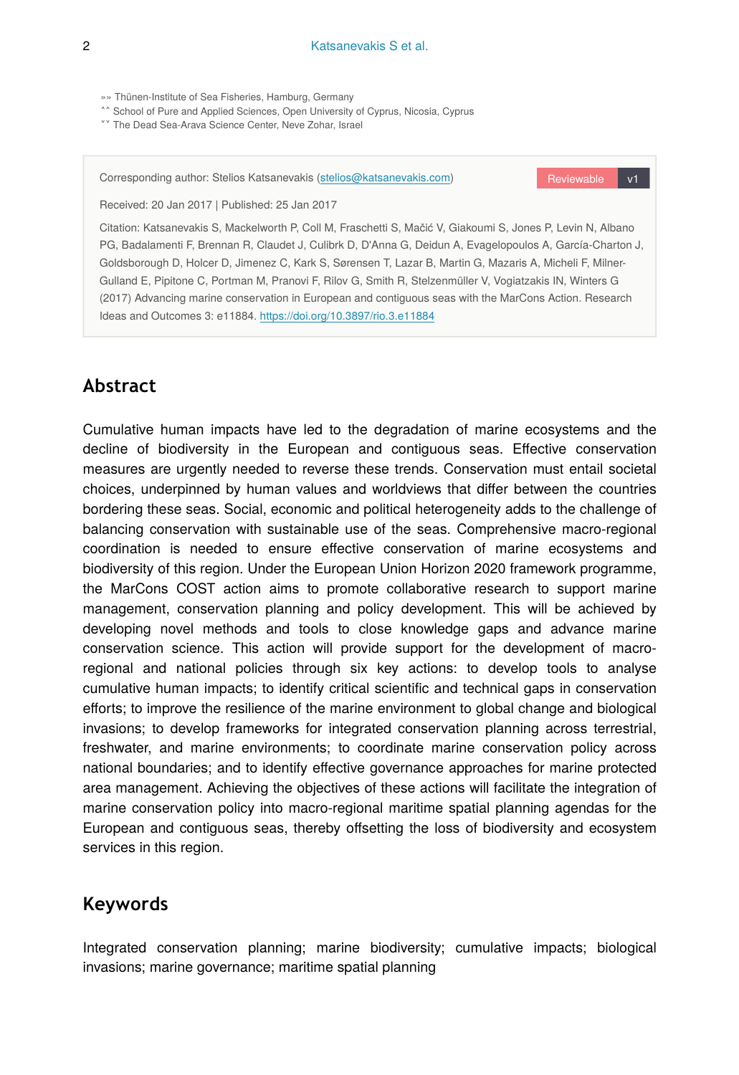»» Thünen-Institute of Sea Fisheries, Hamburg, Germany

^^ School of Pure and Applied Sciences, Open University of Cyprus, Nicosia, Cyprus

**\*\*** The Dead Sea-Arava Science Center, Neve Zohar, Israel

Corresponding author: Stelios Katsanevakis ([stelios@katsanevakis.com\)](mailto:stelios@katsanevakis.com)

Reviewable v1

Received: 20 Jan 2017 | Published: 25 Jan 2017

Citation: Katsanevakis S, Mackelworth P, Coll M, Fraschetti S, Mačić V, Giakoumi S, Jones P, Levin N, Albano PG, Badalamenti F, Brennan R, Claudet J, Culibrk D, D'Anna G, Deidun A, Evagelopoulos A, García-Charton J, Goldsborough D, Holcer D, Jimenez C, Kark S, Sørensen T, Lazar B, Martin G, Mazaris A, Micheli F, Milner-Gulland E, Pipitone C, Portman M, Pranovi F, Rilov G, Smith R, Stelzenmüller V, Vogiatzakis IN, Winters G (2017) Advancing marine conservation in European and contiguous seas with the MarCons Action. Research Ideas and Outcomes 3: e11884.<https://doi.org/10.3897/rio.3.e11884>

#### **Abstract**

Cumulative human impacts have led to the degradation of marine ecosystems and the decline of biodiversity in the European and contiguous seas. Effective conservation measures are urgently needed to reverse these trends. Conservation must entail societal choices, underpinned by human values and worldviews that differ between the countries bordering these seas. Social, economic and political heterogeneity adds to the challenge of balancing conservation with sustainable use of the seas. Comprehensive macro-regional coordination is needed to ensure effective conservation of marine ecosystems and biodiversity of this region. Under the European Union Horizon 2020 framework programme, the MarCons COST action aims to promote collaborative research to support marine management, conservation planning and policy development. This will be achieved by developing novel methods and tools to close knowledge gaps and advance marine conservation science. This action will provide support for the development of macroregional and national policies through six key actions: to develop tools to analyse cumulative human impacts; to identify critical scientific and technical gaps in conservation efforts; to improve the resilience of the marine environment to global change and biological invasions; to develop frameworks for integrated conservation planning across terrestrial, freshwater, and marine environments; to coordinate marine conservation policy across national boundaries; and to identify effective governance approaches for marine protected area management. Achieving the objectives of these actions will facilitate the integration of marine conservation policy into macro-regional maritime spatial planning agendas for the European and contiguous seas, thereby offsetting the loss of biodiversity and ecosystem services in this region.

### **Keywords**

Integrated conservation planning; marine biodiversity; cumulative impacts; biological invasions; marine governance; maritime spatial planning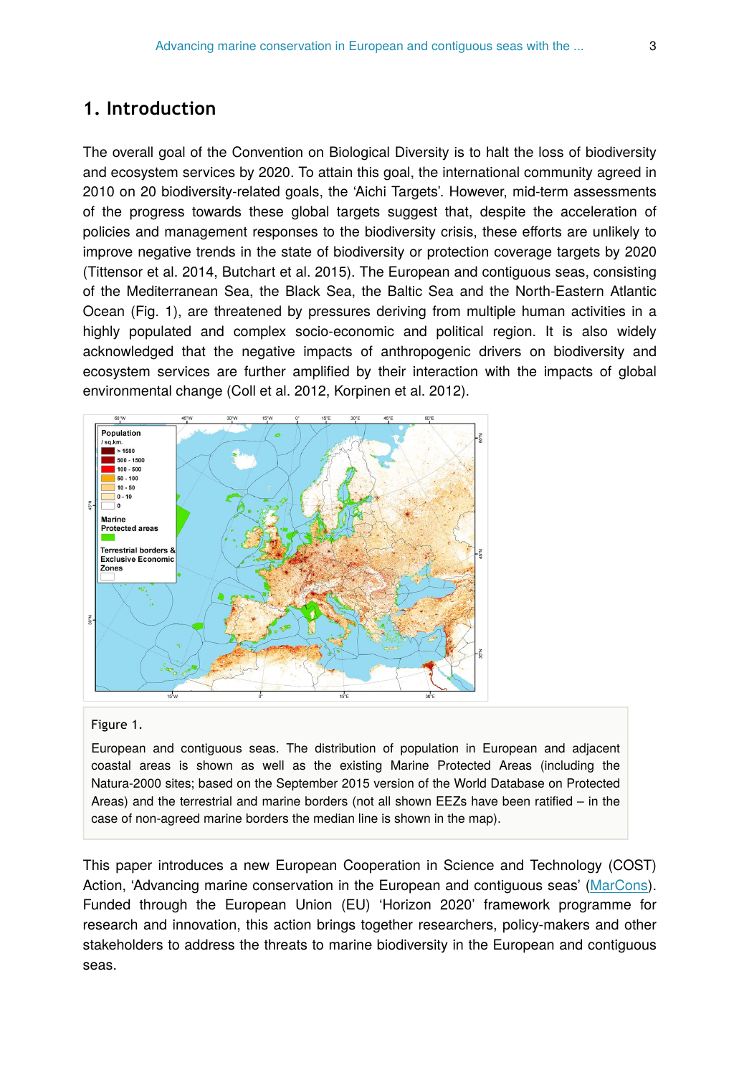#### **1. Introduction**

The overall goal of the Convention on Biological Diversity is to halt the loss of biodiversity and ecosystem services by 2020. To attain this goal, the international community agreed in 2010 on 20 biodiversity-related goals, the 'Aichi Targets'. However, mid-term assessments of the progress towards these global targets suggest that, despite the acceleration of policies and management responses to the biodiversity crisis, these efforts are unlikely to improve negative trends in the state of biodiversity or protection coverage targets by 2020 (Tittensor et al. 2014, Butchart et al. 2015). The European and contiguous seas, consisting of the Mediterranean Sea, the Black Sea, the Baltic Sea and the North-Eastern Atlantic Ocean (Fig. 1), are threatened by pressures deriving from multiple human activities in a highly populated and complex socio-economic and political region. It is also widely acknowledged that the negative impacts of anthropogenic drivers on biodiversity and ecosystem services are further amplified by their interaction with the impacts of global environmental change (Coll et al. 2012, Korpinen et al. 2012).



#### Figure 1.

European and contiguous seas. The distribution of population in European and adjacent coastal areas is shown as well as the existing Marine Protected Areas (including the Natura-2000 sites; based on the September 2015 version of the World Database on Protected Areas) and the terrestrial and marine borders (not all shown EEZs have been ratified – in the case of non-agreed marine borders the median line is shown in the map).

This paper introduces a new European Cooperation in Science and Technology (COST) Action, 'Advancing marine conservation in the European and contiguous seas' [\(MarCons\)](http://www.marcons-cost.eu/). Funded through the European Union (EU) 'Horizon 2020' framework programme for research and innovation, this action brings together researchers, policy-makers and other stakeholders to address the threats to marine biodiversity in the European and contiguous seas.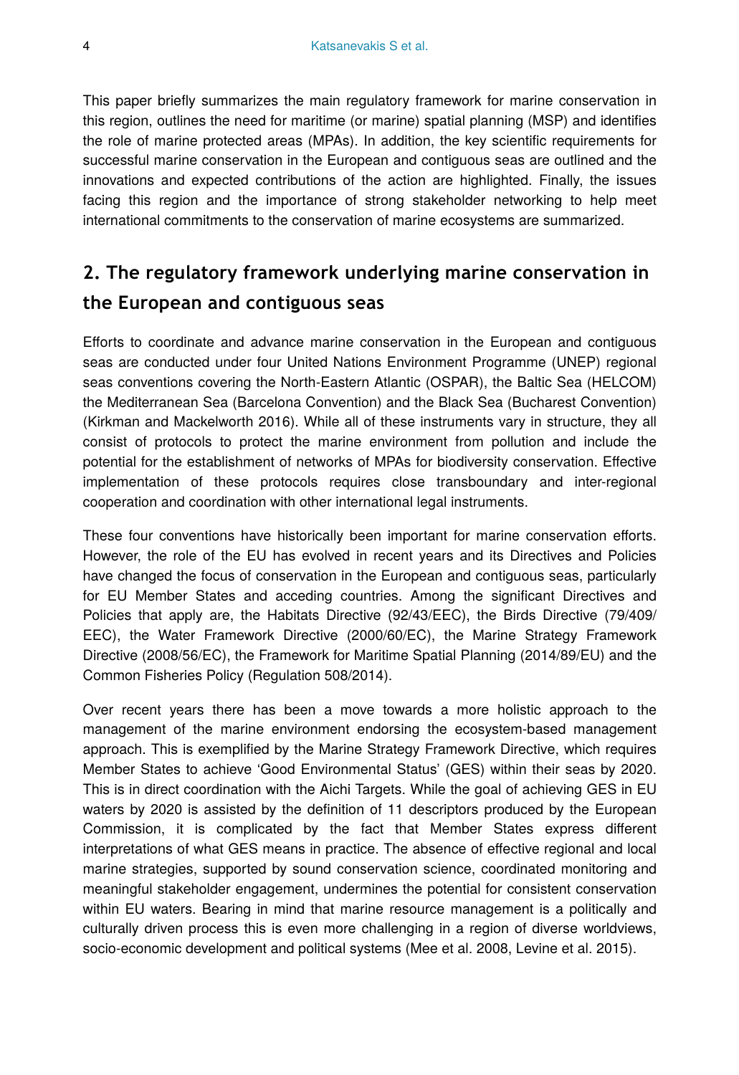This paper briefly summarizes the main regulatory framework for marine conservation in this region, outlines the need for maritime (or marine) spatial planning (MSP) and identifies the role of marine protected areas (MPAs). In addition, the key scientific requirements for successful marine conservation in the European and contiguous seas are outlined and the innovations and expected contributions of the action are highlighted. Finally, the issues facing this region and the importance of strong stakeholder networking to help meet international commitments to the conservation of marine ecosystems are summarized.

# **2. The regulatory framework underlying marine conservation in the European and contiguous seas**

Efforts to coordinate and advance marine conservation in the European and contiguous seas are conducted under four United Nations Environment Programme (UNEP) regional seas conventions covering the North-Eastern Atlantic (OSPAR), the Baltic Sea (HELCOM) the Mediterranean Sea (Barcelona Convention) and the Black Sea (Bucharest Convention) (Kirkman and Mackelworth 2016). While all of these instruments vary in structure, they all consist of protocols to protect the marine environment from pollution and include the potential for the establishment of networks of MPAs for biodiversity conservation. Effective implementation of these protocols requires close transboundary and inter-regional cooperation and coordination with other international legal instruments.

These four conventions have historically been important for marine conservation efforts. However, the role of the EU has evolved in recent years and its Directives and Policies have changed the focus of conservation in the European and contiguous seas, particularly for EU Member States and acceding countries. Among the significant Directives and Policies that apply are, the Habitats Directive (92/43/EEC), the Birds Directive (79/409/ EEC), the Water Framework Directive (2000/60/EC), the Marine Strategy Framework Directive (2008/56/EC), the Framework for Maritime Spatial Planning (2014/89/EU) and the Common Fisheries Policy (Regulation 508/2014).

Over recent years there has been a move towards a more holistic approach to the management of the marine environment endorsing the ecosystem-based management approach. This is exemplified by the Marine Strategy Framework Directive, which requires Member States to achieve 'Good Environmental Status' (GES) within their seas by 2020. This is in direct coordination with the Aichi Targets. While the goal of achieving GES in EU waters by 2020 is assisted by the definition of 11 descriptors produced by the European Commission, it is complicated by the fact that Member States express different interpretations of what GES means in practice. The absence of effective regional and local marine strategies, supported by sound conservation science, coordinated monitoring and meaningful stakeholder engagement, undermines the potential for consistent conservation within EU waters. Bearing in mind that marine resource management is a politically and culturally driven process this is even more challenging in a region of diverse worldviews, socio-economic development and political systems (Mee et al. 2008, Levine et al. 2015).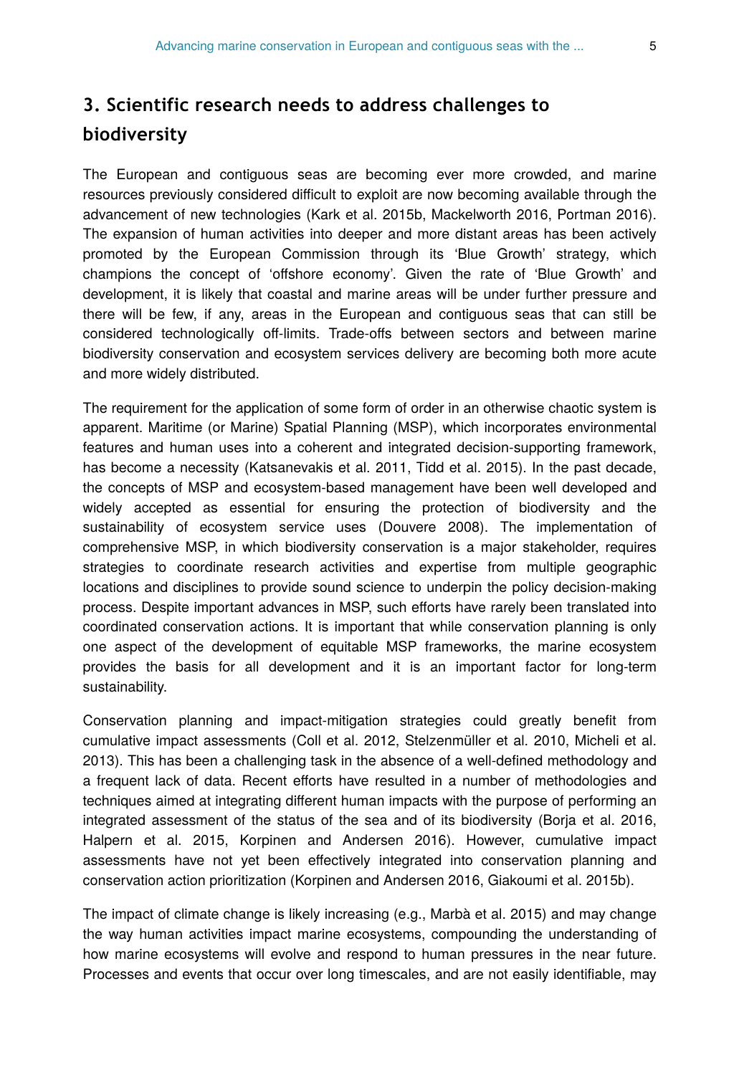# **3. Scientific research needs to address challenges to biodiversity**

The European and contiguous seas are becoming ever more crowded, and marine resources previously considered difficult to exploit are now becoming available through the advancement of new technologies (Kark et al. 2015b, Mackelworth 2016, Portman 2016). The expansion of human activities into deeper and more distant areas has been actively promoted by the European Commission through its 'Blue Growth' strategy, which champions the concept of 'offshore economy'. Given the rate of 'Blue Growth' and development, it is likely that coastal and marine areas will be under further pressure and there will be few, if any, areas in the European and contiguous seas that can still be considered technologically off-limits. Trade-offs between sectors and between marine biodiversity conservation and ecosystem services delivery are becoming both more acute and more widely distributed.

The requirement for the application of some form of order in an otherwise chaotic system is apparent. Maritime (or Marine) Spatial Planning (MSP), which incorporates environmental features and human uses into a coherent and integrated decision-supporting framework, has become a necessity (Katsanevakis et al. 2011, Tidd et al. 2015). In the past decade, the concepts of MSP and ecosystem-based management have been well developed and widely accepted as essential for ensuring the protection of biodiversity and the sustainability of ecosystem service uses (Douvere 2008). The implementation of comprehensive MSP, in which biodiversity conservation is a major stakeholder, requires strategies to coordinate research activities and expertise from multiple geographic locations and disciplines to provide sound science to underpin the policy decision-making process. Despite important advances in MSP, such efforts have rarely been translated into coordinated conservation actions. It is important that while conservation planning is only one aspect of the development of equitable MSP frameworks, the marine ecosystem provides the basis for all development and it is an important factor for long-term sustainability.

Conservation planning and impact-mitigation strategies could greatly benefit from cumulative impact assessments (Coll et al. 2012, Stelzenmüller et al. 2010, Micheli et al. 2013). This has been a challenging task in the absence of a well-defined methodology and a frequent lack of data. Recent efforts have resulted in a number of methodologies and techniques aimed at integrating different human impacts with the purpose of performing an integrated assessment of the status of the sea and of its biodiversity (Borja et al. 2016, Halpern et al. 2015, Korpinen and Andersen 2016). However, cumulative impact assessments have not yet been effectively integrated into conservation planning and conservation action prioritization (Korpinen and Andersen 2016, Giakoumi et al. 2015b).

The impact of climate change is likely increasing (e.g., Marbà et al. 2015) and may change the way human activities impact marine ecosystems, compounding the understanding of how marine ecosystems will evolve and respond to human pressures in the near future. Processes and events that occur over long timescales, and are not easily identifiable, may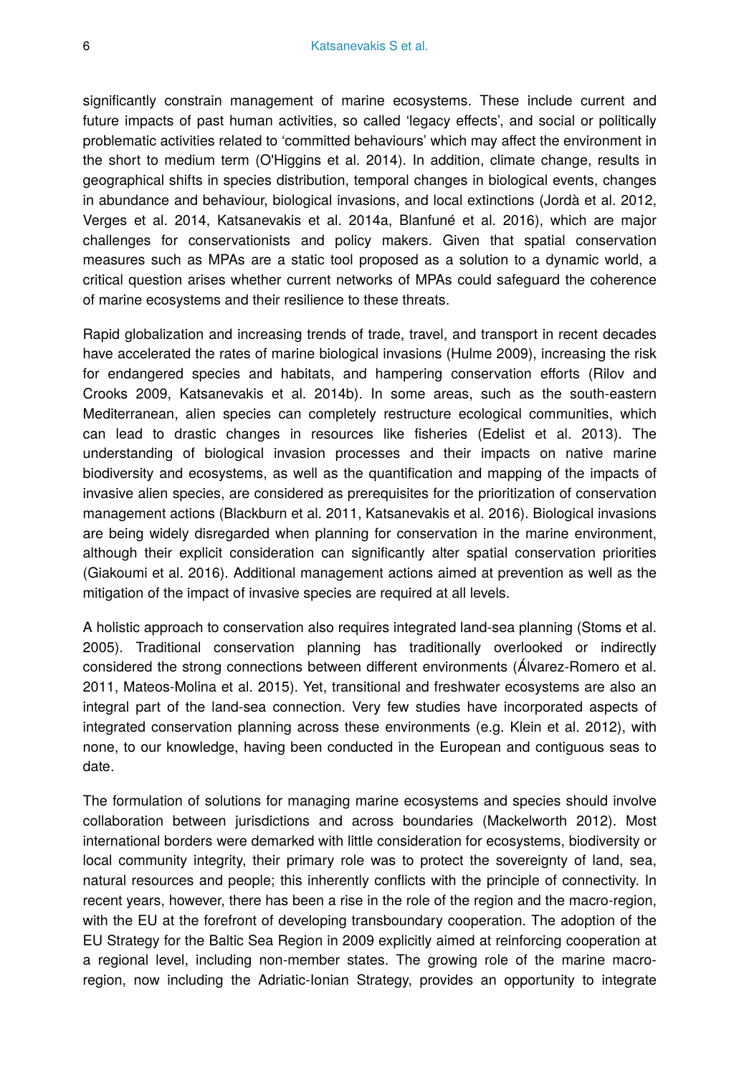significantly constrain management of marine ecosystems. These include current and future impacts of past human activities, so called 'legacy effects', and social or politically problematic activities related to 'committed behaviours' which may affect the environment in the short to medium term (O'Higgins et al. 2014). In addition, climate change, results in geographical shifts in species distribution, temporal changes in biological events, changes in abundance and behaviour, biological invasions, and local extinctions (Jordà et al. 2012, Verges et al. 2014, Katsanevakis et al. 2014a, Blanfuné et al. 2016), which are major challenges for conservationists and policy makers. Given that spatial conservation measures such as MPAs are a static tool proposed as a solution to a dynamic world, a critical question arises whether current networks of MPAs could safeguard the coherence of marine ecosystems and their resilience to these threats.

Rapid globalization and increasing trends of trade, travel, and transport in recent decades have accelerated the rates of marine biological invasions (Hulme 2009), increasing the risk for endangered species and habitats, and hampering conservation efforts (Rilov and Crooks 2009, Katsanevakis et al. 2014b). In some areas, such as the south-eastern Mediterranean, alien species can completely restructure ecological communities, which can lead to drastic changes in resources like fisheries (Edelist et al. 2013). The understanding of biological invasion processes and their impacts on native marine biodiversity and ecosystems, as well as the quantification and mapping of the impacts of invasive alien species, are considered as prerequisites for the prioritization of conservation management actions (Blackburn et al. 2011, Katsanevakis et al. 2016). Biological invasions are being widely disregarded when planning for conservation in the marine environment, although their explicit consideration can significantly alter spatial conservation priorities (Giakoumi et al. 2016). Additional management actions aimed at prevention as well as the mitigation of the impact of invasive species are required at all levels.

A holistic approach to conservation also requires integrated land-sea planning (Stoms et al. 2005). Traditional conservation planning has traditionally overlooked or indirectly considered the strong connections between different environments (Álvarez-Romero et al. 2011, Mateos-Molina et al. 2015). Yet, transitional and freshwater ecosystems are also an integral part of the land-sea connection. Very few studies have incorporated aspects of integrated conservation planning across these environments (e.g. Klein et al. 2012), with none, to our knowledge, having been conducted in the European and contiguous seas to date.

The formulation of solutions for managing marine ecosystems and species should involve collaboration between jurisdictions and across boundaries (Mackelworth 2012). Most international borders were demarked with little consideration for ecosystems, biodiversity or local community integrity, their primary role was to protect the sovereignty of land, sea, natural resources and people; this inherently conflicts with the principle of connectivity. In recent years, however, there has been a rise in the role of the region and the macro-region, with the EU at the forefront of developing transboundary cooperation. The adoption of the EU Strategy for the Baltic Sea Region in 2009 explicitly aimed at reinforcing cooperation at a regional level, including non-member states. The growing role of the marine macroregion, now including the Adriatic-Ionian Strategy, provides an opportunity to integrate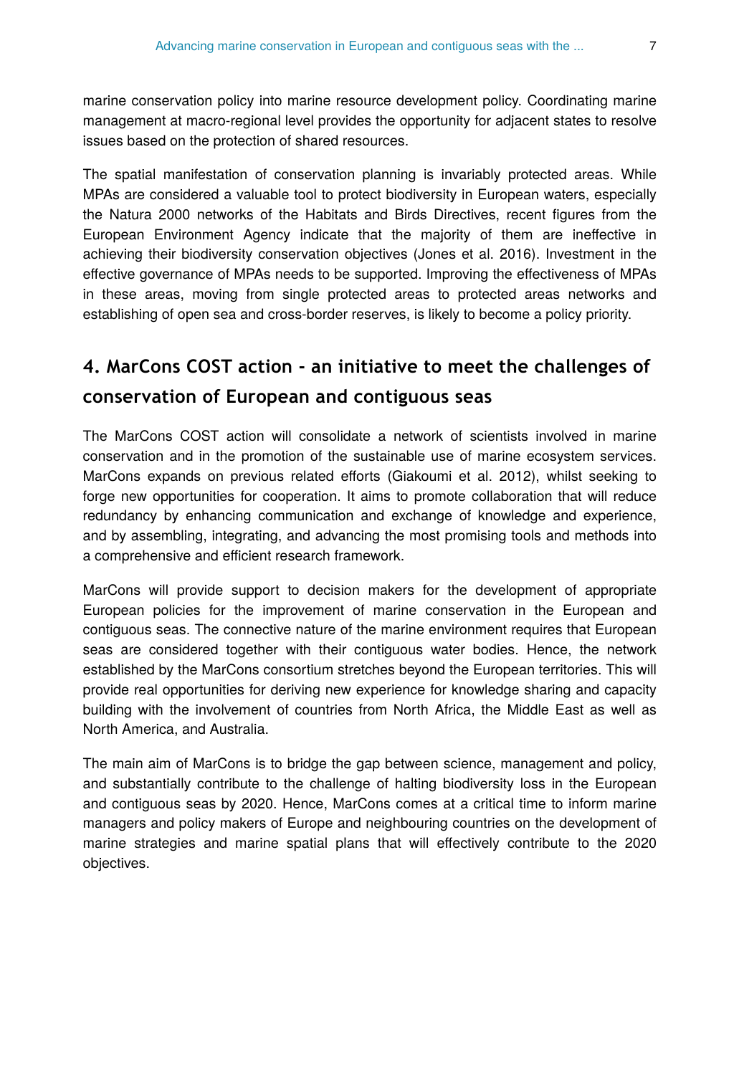marine conservation policy into marine resource development policy. Coordinating marine management at macro-regional level provides the opportunity for adjacent states to resolve issues based on the protection of shared resources.

The spatial manifestation of conservation planning is invariably protected areas. While MPAs are considered a valuable tool to protect biodiversity in European waters, especially the Natura 2000 networks of the Habitats and Birds Directives, recent figures from the European Environment Agency indicate that the majority of them are ineffective in achieving their biodiversity conservation objectives (Jones et al. 2016). Investment in the effective governance of MPAs needs to be supported. Improving the effectiveness of MPAs in these areas, moving from single protected areas to protected areas networks and establishing of open sea and cross-border reserves, is likely to become a policy priority.

## **4. MarCons COST action - an initiative to meet the challenges of conservation of European and contiguous seas**

The MarCons COST action will consolidate a network of scientists involved in marine conservation and in the promotion of the sustainable use of marine ecosystem services. MarCons expands on previous related efforts (Giakoumi et al. 2012), whilst seeking to forge new opportunities for cooperation. It aims to promote collaboration that will reduce redundancy by enhancing communication and exchange of knowledge and experience, and by assembling, integrating, and advancing the most promising tools and methods into a comprehensive and efficient research framework.

MarCons will provide support to decision makers for the development of appropriate European policies for the improvement of marine conservation in the European and contiguous seas. The connective nature of the marine environment requires that European seas are considered together with their contiguous water bodies. Hence, the network established by the MarCons consortium stretches beyond the European territories. This will provide real opportunities for deriving new experience for knowledge sharing and capacity building with the involvement of countries from North Africa, the Middle East as well as North America, and Australia.

The main aim of MarCons is to bridge the gap between science, management and policy, and substantially contribute to the challenge of halting biodiversity loss in the European and contiguous seas by 2020. Hence, MarCons comes at a critical time to inform marine managers and policy makers of Europe and neighbouring countries on the development of marine strategies and marine spatial plans that will effectively contribute to the 2020 objectives.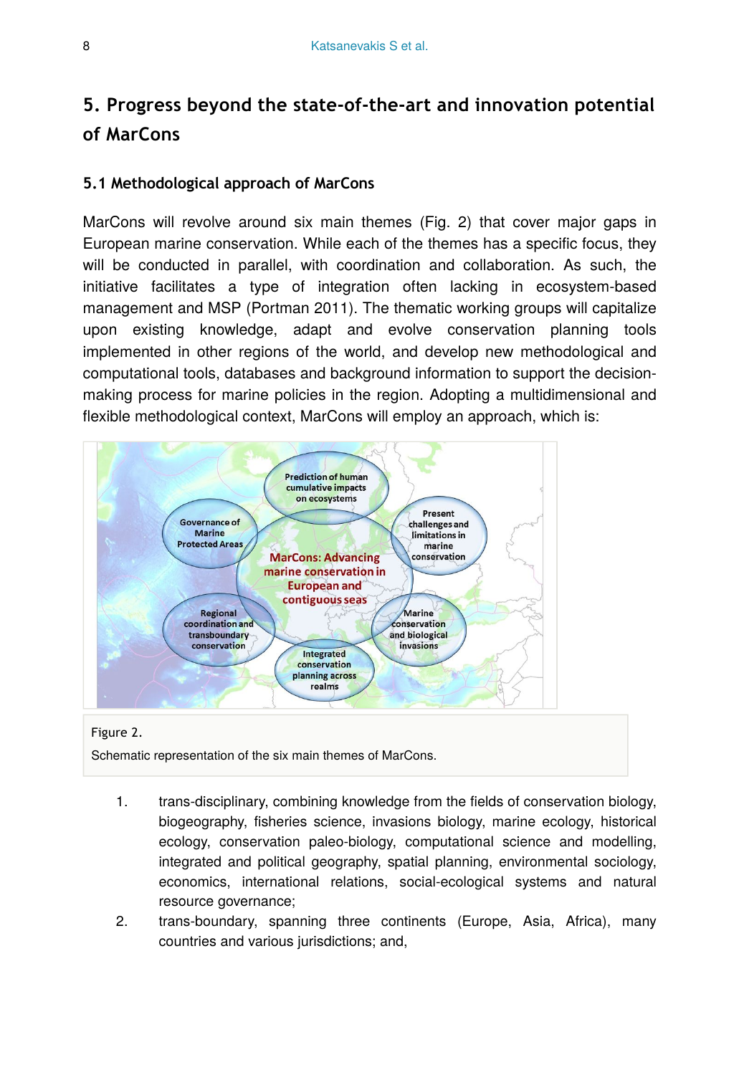# **5. Progress beyond the state-of-the-art and innovation potential of MarCons**

#### **5.1 Methodological approach of MarCons**

MarCons will revolve around six main themes (Fig. 2) that cover major gaps in European marine conservation. While each of the themes has a specific focus, they will be conducted in parallel, with coordination and collaboration. As such, the initiative facilitates a type of integration often lacking in ecosystem-based management and MSP (Portman 2011). The thematic working groups will capitalize upon existing knowledge, adapt and evolve conservation planning tools implemented in other regions of the world, and develop new methodological and computational tools, databases and background information to support the decisionmaking process for marine policies in the region. Adopting a multidimensional and flexible methodological context, MarCons will employ an approach, which is:



#### Figure 2.

Schematic representation of the six main themes of MarCons.

- 1. trans-disciplinary, combining knowledge from the fields of conservation biology, biogeography, fisheries science, invasions biology, marine ecology, historical ecology, conservation paleo-biology, computational science and modelling, integrated and political geography, spatial planning, environmental sociology, economics, international relations, social-ecological systems and natural resource governance;
- 2. trans-boundary, spanning three continents (Europe, Asia, Africa), many countries and various jurisdictions; and,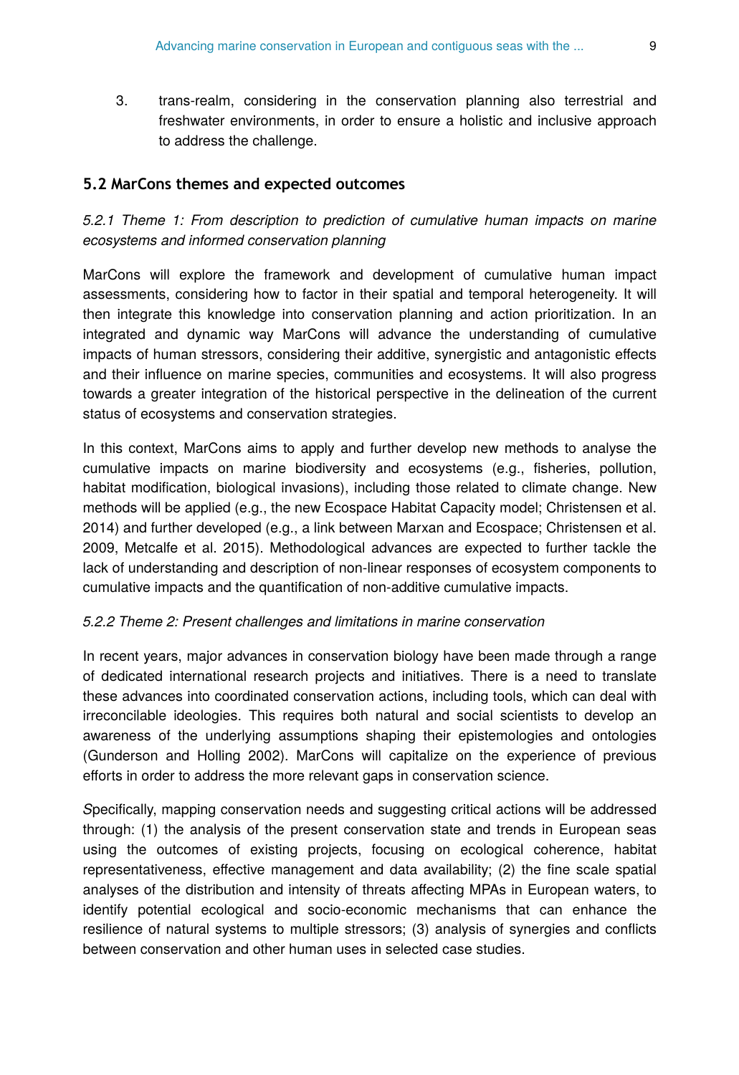3. trans-realm, considering in the conservation planning also terrestrial and freshwater environments, in order to ensure a holistic and inclusive approach to address the challenge.

#### **5.2 MarCons themes and expected outcomes**

#### *5.2.1 Theme 1: From description to prediction of cumulative human impacts on marine ecosystems and informed conservation planning*

MarCons will explore the framework and development of cumulative human impact assessments, considering how to factor in their spatial and temporal heterogeneity. It will then integrate this knowledge into conservation planning and action prioritization. In an integrated and dynamic way MarCons will advance the understanding of cumulative impacts of human stressors, considering their additive, synergistic and antagonistic effects and their influence on marine species, communities and ecosystems. It will also progress towards a greater integration of the historical perspective in the delineation of the current status of ecosystems and conservation strategies.

In this context, MarCons aims to apply and further develop new methods to analyse the cumulative impacts on marine biodiversity and ecosystems (e.g., fisheries, pollution, habitat modification, biological invasions), including those related to climate change. New methods will be applied (e.g., the new Ecospace Habitat Capacity model; Christensen et al. 2014) and further developed (e.g., a link between Marxan and Ecospace; Christensen et al. 2009, Metcalfe et al. 2015). Methodological advances are expected to further tackle the lack of understanding and description of non-linear responses of ecosystem components to cumulative impacts and the quantification of non-additive cumulative impacts.

#### *5.2.2 Theme 2: Present challenges and limitations in marine conservation*

In recent years, major advances in conservation biology have been made through a range of dedicated international research projects and initiatives. There is a need to translate these advances into coordinated conservation actions, including tools, which can deal with irreconcilable ideologies. This requires both natural and social scientists to develop an awareness of the underlying assumptions shaping their epistemologies and ontologies (Gunderson and Holling 2002). MarCons will capitalize on the experience of previous efforts in order to address the more relevant gaps in conservation science.

*S*pecifically, mapping conservation needs and suggesting critical actions will be addressed through: (1) the analysis of the present conservation state and trends in European seas using the outcomes of existing projects, focusing on ecological coherence, habitat representativeness, effective management and data availability; (2) the fine scale spatial analyses of the distribution and intensity of threats affecting MPAs in European waters, to identify potential ecological and socio-economic mechanisms that can enhance the resilience of natural systems to multiple stressors; (3) analysis of synergies and conflicts between conservation and other human uses in selected case studies.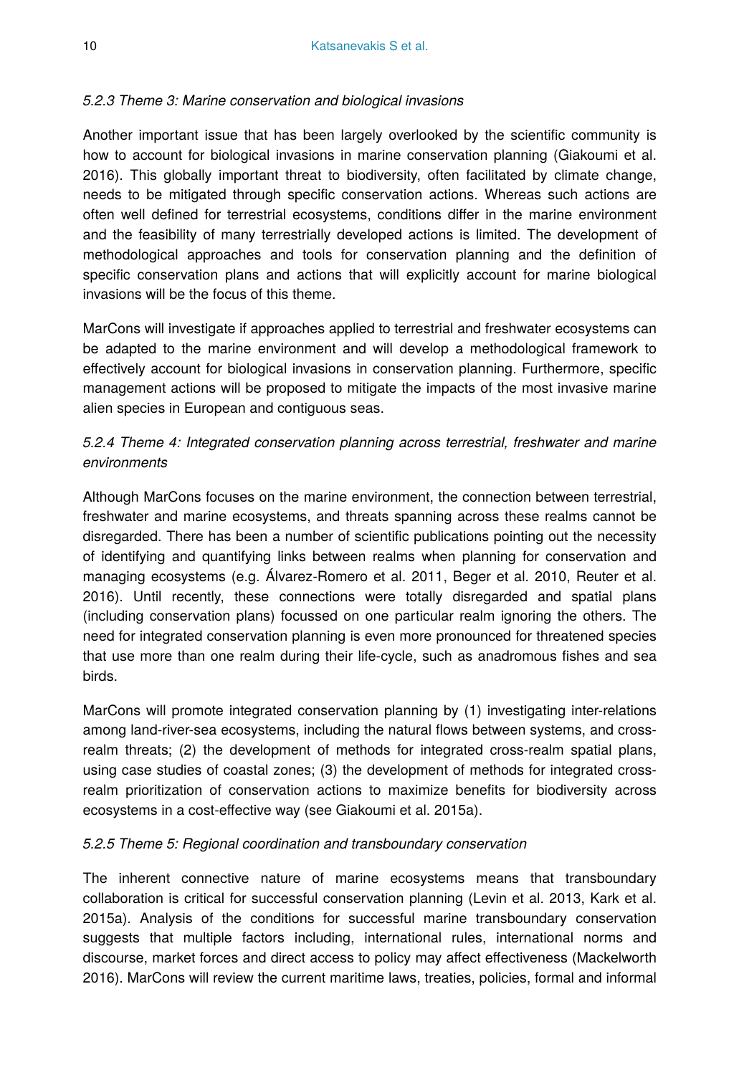#### *5.2.3 Theme 3: Marine conservation and biological invasions*

Another important issue that has been largely overlooked by the scientific community is how to account for biological invasions in marine conservation planning (Giakoumi et al. 2016). This globally important threat to biodiversity, often facilitated by climate change, needs to be mitigated through specific conservation actions. Whereas such actions are often well defined for terrestrial ecosystems, conditions differ in the marine environment and the feasibility of many terrestrially developed actions is limited. The development of methodological approaches and tools for conservation planning and the definition of specific conservation plans and actions that will explicitly account for marine biological invasions will be the focus of this theme.

MarCons will investigate if approaches applied to terrestrial and freshwater ecosystems can be adapted to the marine environment and will develop a methodological framework to effectively account for biological invasions in conservation planning. Furthermore, specific management actions will be proposed to mitigate the impacts of the most invasive marine alien species in European and contiguous seas.

#### *5.2.4 Theme 4: Integrated conservation planning across terrestrial, freshwater and marine environments*

Although MarCons focuses on the marine environment, the connection between terrestrial, freshwater and marine ecosystems, and threats spanning across these realms cannot be disregarded. There has been a number of scientific publications pointing out the necessity of identifying and quantifying links between realms when planning for conservation and managing ecosystems (e.g. Álvarez-Romero et al. 2011, Beger et al. 2010, Reuter et al. 2016). Until recently, these connections were totally disregarded and spatial plans (including conservation plans) focussed on one particular realm ignoring the others. The need for integrated conservation planning is even more pronounced for threatened species that use more than one realm during their life-cycle, such as anadromous fishes and sea birds.

MarCons will promote integrated conservation planning by (1) investigating inter-relations among land-river-sea ecosystems, including the natural flows between systems, and crossrealm threats; (2) the development of methods for integrated cross-realm spatial plans, using case studies of coastal zones; (3) the development of methods for integrated crossrealm prioritization of conservation actions to maximize benefits for biodiversity across ecosystems in a cost-effective way (see Giakoumi et al. 2015a).

#### *5.2.5 Theme 5: Regional coordination and transboundary conservation*

The inherent connective nature of marine ecosystems means that transboundary collaboration is critical for successful conservation planning (Levin et al. 2013, Kark et al. 2015a). Analysis of the conditions for successful marine transboundary conservation suggests that multiple factors including, international rules, international norms and discourse, market forces and direct access to policy may affect effectiveness (Mackelworth 2016). MarCons will review the current maritime laws, treaties, policies, formal and informal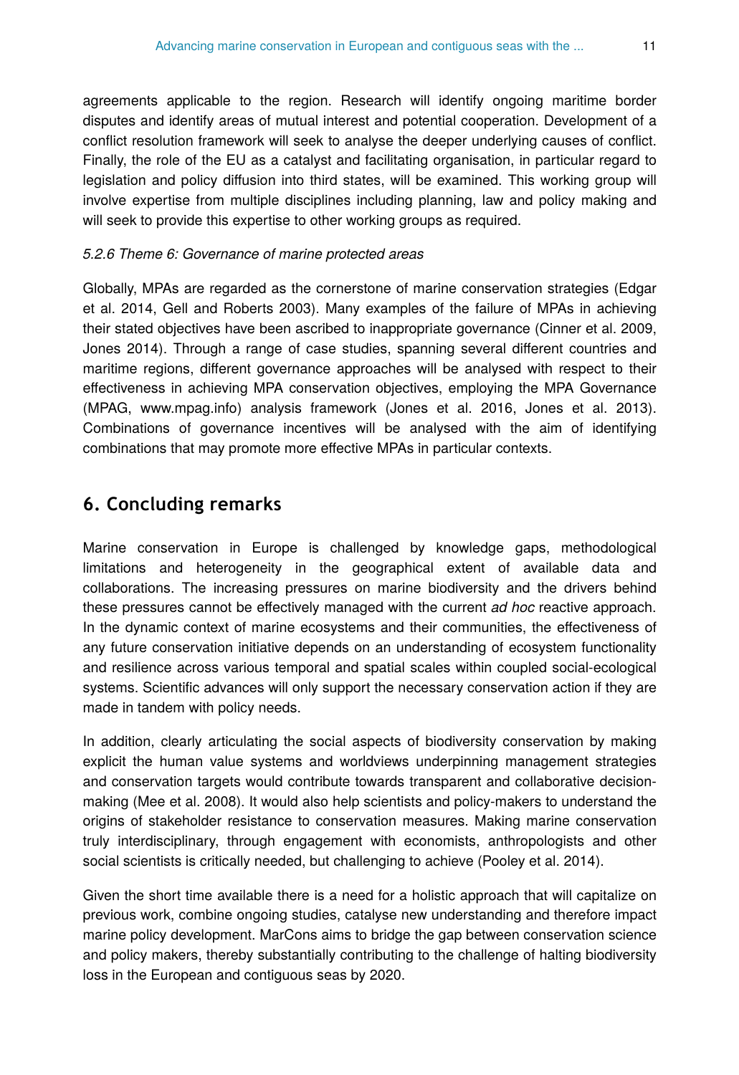agreements applicable to the region. Research will identify ongoing maritime border disputes and identify areas of mutual interest and potential cooperation. Development of a conflict resolution framework will seek to analyse the deeper underlying causes of conflict. Finally, the role of the EU as a catalyst and facilitating organisation, in particular regard to legislation and policy diffusion into third states, will be examined. This working group will involve expertise from multiple disciplines including planning, law and policy making and will seek to provide this expertise to other working groups as required.

#### *5.2.6 Theme 6: Governance of marine protected areas*

Globally, MPAs are regarded as the cornerstone of marine conservation strategies (Edgar et al. 2014, Gell and Roberts 2003). Many examples of the failure of MPAs in achieving their stated objectives have been ascribed to inappropriate governance (Cinner et al. 2009, Jones 2014). Through a range of case studies, spanning several different countries and maritime regions, different governance approaches will be analysed with respect to their effectiveness in achieving MPA conservation objectives, employing the MPA Governance (MPAG, www.mpag.info) analysis framework (Jones et al. 2016, Jones et al. 2013). Combinations of governance incentives will be analysed with the aim of identifying combinations that may promote more effective MPAs in particular contexts.

### **6. Concluding remarks**

Marine conservation in Europe is challenged by knowledge gaps, methodological limitations and heterogeneity in the geographical extent of available data and collaborations. The increasing pressures on marine biodiversity and the drivers behind these pressures cannot be effectively managed with the current *ad hoc* reactive approach. In the dynamic context of marine ecosystems and their communities, the effectiveness of any future conservation initiative depends on an understanding of ecosystem functionality and resilience across various temporal and spatial scales within coupled social-ecological systems. Scientific advances will only support the necessary conservation action if they are made in tandem with policy needs.

In addition, clearly articulating the social aspects of biodiversity conservation by making explicit the human value systems and worldviews underpinning management strategies and conservation targets would contribute towards transparent and collaborative decisionmaking (Mee et al. 2008). It would also help scientists and policy-makers to understand the origins of stakeholder resistance to conservation measures. Making marine conservation truly interdisciplinary, through engagement with economists, anthropologists and other social scientists is critically needed, but challenging to achieve (Pooley et al. 2014).

Given the short time available there is a need for a holistic approach that will capitalize on previous work, combine ongoing studies, catalyse new understanding and therefore impact marine policy development. MarCons aims to bridge the gap between conservation science and policy makers, thereby substantially contributing to the challenge of halting biodiversity loss in the European and contiguous seas by 2020.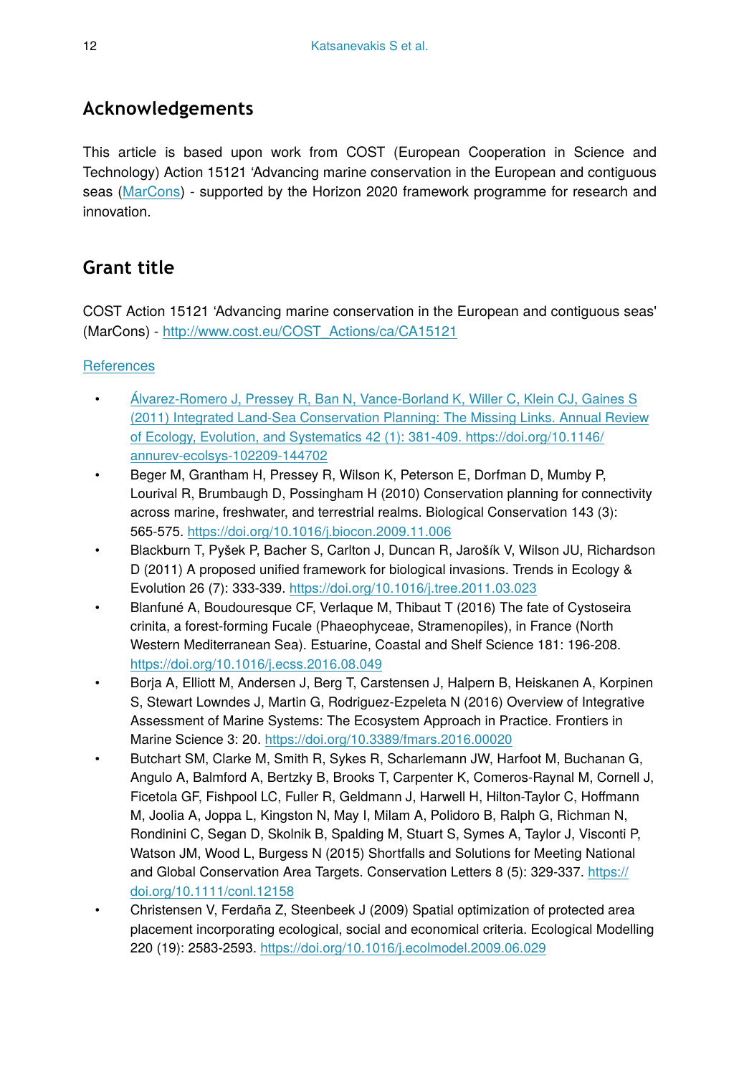### **Acknowledgements**

This article is based upon work from COST (European Cooperation in Science and Technology) Action 15121 'Advancing marine conservation in the European and contiguous seas ([MarCons](http://www.marcons-cost.eu/)) - supported by the Horizon 2020 framework programme for research and innovation.

### **Grant title**

COST Action 15121 'Advancing marine conservation in the European and contiguous seas' (MarCons) - [http://www.cost.eu/COST\\_Actions/ca/CA15121](http://www.cost.eu/COST_Actions/ca/CA15121)

#### **[References](http://riojournal.com/%3Ch1%20id=)**

- [Álvarez-Romero J, Pressey R, Ban N, Vance-Borland K, Willer C, Klein CJ, Gaines S](http://riojournal.com/%3Ch1%20id=) [\(2011\) Integrated Land-Sea Conservation Planning: The Missing Links. Annual Review](http://riojournal.com/%3Ch1%20id=) [of Ecology, Evolution, and Systematics 42 \(1\): 381](http://riojournal.com/%3Ch1%20id=)-409. [https://doi.org/10.1146/](https://doi.org/10.1146/annurev-ecolsys-102209-144702) [annurev-ecolsys-102209-144702](https://doi.org/10.1146/annurev-ecolsys-102209-144702)
- Beger M, Grantham H, Pressey R, Wilson K, Peterson E, Dorfman D, Mumby P, Lourival R, Brumbaugh D, Possingham H (2010) Conservation planning for connectivity across marine, freshwater, and terrestrial realms. Biological Conservation 143 (3): 565‑575. <https://doi.org/10.1016/j.biocon.2009.11.006>
- Blackburn T, Pyšek P, Bacher S, Carlton J, Duncan R, Jarošík V, Wilson JU, Richardson D (2011) A proposed unified framework for biological invasions. Trends in Ecology & Evolution 26 (7): 333‑339.<https://doi.org/10.1016/j.tree.2011.03.023>
- Blanfuné A, Boudouresque CF, Verlaque M, Thibaut T (2016) The fate of Cystoseira crinita, a forest-forming Fucale (Phaeophyceae, Stramenopiles), in France (North Western Mediterranean Sea). Estuarine, Coastal and Shelf Science 181: 196‑208. <https://doi.org/10.1016/j.ecss.2016.08.049>
- Borja A, Elliott M, Andersen J, Berg T, Carstensen J, Halpern B, Heiskanen A, Korpinen S, Stewart Lowndes J, Martin G, Rodriguez-Ezpeleta N (2016) Overview of Integrative Assessment of Marine Systems: The Ecosystem Approach in Practice. Frontiers in Marine Science 3: 20. <https://doi.org/10.3389/fmars.2016.00020>
- Butchart SM, Clarke M, Smith R, Sykes R, Scharlemann JW, Harfoot M, Buchanan G, Angulo A, Balmford A, Bertzky B, Brooks T, Carpenter K, Comeros-Raynal M, Cornell J, Ficetola GF, Fishpool LC, Fuller R, Geldmann J, Harwell H, Hilton-Taylor C, Hoffmann M, Joolia A, Joppa L, Kingston N, May I, Milam A, Polidoro B, Ralph G, Richman N, Rondinini C, Segan D, Skolnik B, Spalding M, Stuart S, Symes A, Taylor J, Visconti P, Watson JM, Wood L, Burgess N (2015) Shortfalls and Solutions for Meeting National and Global Conservation Area Targets. Conservation Letters 8 (5): 329-337. [https://](https://doi.org/10.1111/conl.12158) [doi.org/10.1111/conl.12158](https://doi.org/10.1111/conl.12158)
- Christensen V, Ferdaña Z, Steenbeek J (2009) Spatial optimization of protected area placement incorporating ecological, social and economical criteria. Ecological Modelling 220 (19): 2583‑2593. <https://doi.org/10.1016/j.ecolmodel.2009.06.029>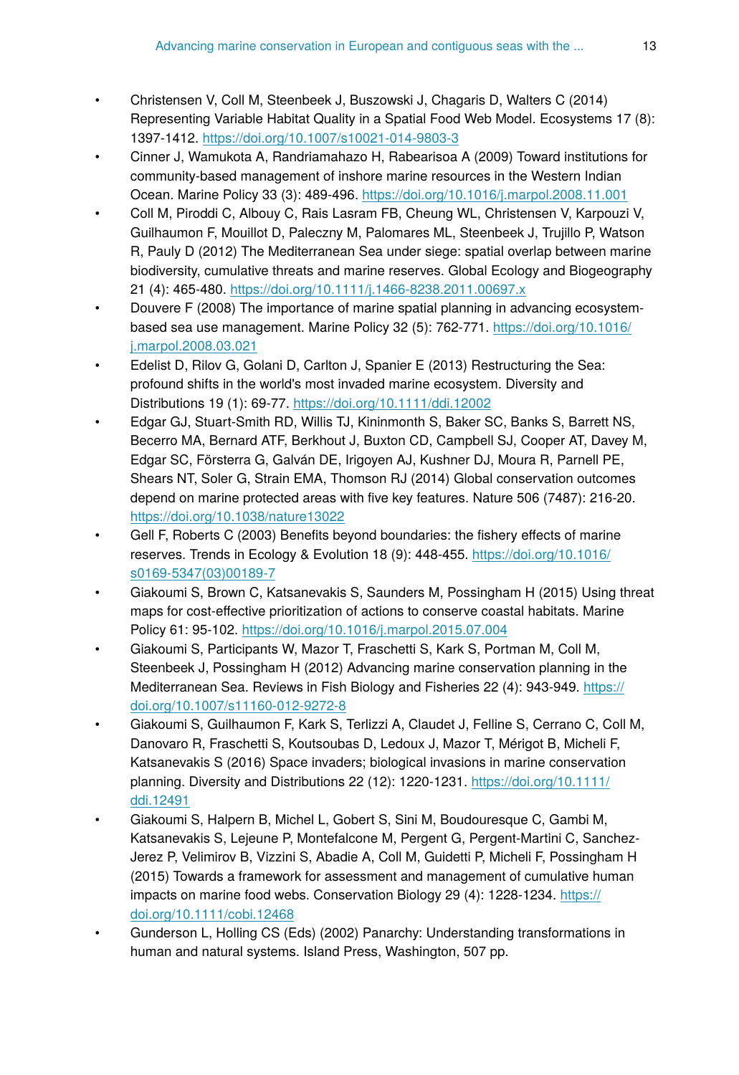- Christensen V, Coll M, Steenbeek J, Buszowski J, Chagaris D, Walters C (2014) Representing Variable Habitat Quality in a Spatial Food Web Model. Ecosystems 17 (8): 1397‑1412.<https://doi.org/10.1007/s10021-014-9803-3>
- Cinner J, Wamukota A, Randriamahazo H, Rabearisoa A (2009) Toward institutions for community-based management of inshore marine resources in the Western Indian Ocean. Marine Policy 33 (3): 489‑496.<https://doi.org/10.1016/j.marpol.2008.11.001>
- Coll M, Piroddi C, Albouy C, Rais Lasram FB, Cheung WL, Christensen V, Karpouzi V, Guilhaumon F, Mouillot D, Paleczny M, Palomares ML, Steenbeek J, Trujillo P, Watson R, Pauly D (2012) The Mediterranean Sea under siege: spatial overlap between marine biodiversity, cumulative threats and marine reserves. Global Ecology and Biogeography 21 (4): 465‑480. <https://doi.org/10.1111/j.1466-8238.2011.00697.x>
- Douvere F (2008) The importance of marine spatial planning in advancing ecosystembased sea use management. Marine Policy 32 (5): 762‑771. [https://doi.org/10.1016/](https://doi.org/10.1016/j.marpol.2008.03.021) [j.marpol.2008.03.021](https://doi.org/10.1016/j.marpol.2008.03.021)
- Edelist D, Rilov G, Golani D, Carlton J, Spanier E (2013) Restructuring the Sea: profound shifts in the world's most invaded marine ecosystem. Diversity and Distributions 19 (1): 69‑77. <https://doi.org/10.1111/ddi.12002>
- Edgar GJ, Stuart-Smith RD, Willis TJ, Kininmonth S, Baker SC, Banks S, Barrett NS, Becerro MA, Bernard ATF, Berkhout J, Buxton CD, Campbell SJ, Cooper AT, Davey M, Edgar SC, Försterra G, Galván DE, Irigoyen AJ, Kushner DJ, Moura R, Parnell PE, Shears NT, Soler G, Strain EMA, Thomson RJ (2014) Global conservation outcomes depend on marine protected areas with five key features. Nature 506 (7487): 216‑20. <https://doi.org/10.1038/nature13022>
- Gell F, Roberts C (2003) Benefits beyond boundaries: the fishery effects of marine reserves. Trends in Ecology & Evolution 18 (9): 448‑455. [https://doi.org/10.1016/](https://doi.org/10.1016/s0169-5347(03)00189-7) [s0169-5347\(03\)00189-7](https://doi.org/10.1016/s0169-5347(03)00189-7)
- Giakoumi S, Brown C, Katsanevakis S, Saunders M, Possingham H (2015) Using threat maps for cost-effective prioritization of actions to conserve coastal habitats. Marine Policy 61: 95‑102.<https://doi.org/10.1016/j.marpol.2015.07.004>
- Giakoumi S, Participants W, Mazor T, Fraschetti S, Kark S, Portman M, Coll M, Steenbeek J, Possingham H (2012) Advancing marine conservation planning in the Mediterranean Sea. Reviews in Fish Biology and Fisheries 22 (4): 943-949. [https://](https://doi.org/10.1007/s11160-012-9272-8) [doi.org/10.1007/s11160-012-9272-8](https://doi.org/10.1007/s11160-012-9272-8)
- Giakoumi S, Guilhaumon F, Kark S, Terlizzi A, Claudet J, Felline S, Cerrano C, Coll M, Danovaro R, Fraschetti S, Koutsoubas D, Ledoux J, Mazor T, Mérigot B, Micheli F, Katsanevakis S (2016) Space invaders; biological invasions in marine conservation planning. Diversity and Distributions 22 (12): 1220-1231. [https://doi.org/10.1111/](https://doi.org/10.1111/ddi.12491) [ddi.12491](https://doi.org/10.1111/ddi.12491)
- Giakoumi S, Halpern B, Michel L, Gobert S, Sini M, Boudouresque C, Gambi M, Katsanevakis S, Lejeune P, Montefalcone M, Pergent G, Pergent-Martini C, Sanchez-Jerez P, Velimirov B, Vizzini S, Abadie A, Coll M, Guidetti P, Micheli F, Possingham H (2015) Towards a framework for assessment and management of cumulative human impacts on marine food webs. Conservation Biology 29 (4): 1228-1234. [https://](https://doi.org/10.1111/cobi.12468) [doi.org/10.1111/cobi.12468](https://doi.org/10.1111/cobi.12468)
- Gunderson L, Holling CS (Eds) (2002) Panarchy: Understanding transformations in human and natural systems. Island Press, Washington, 507 pp.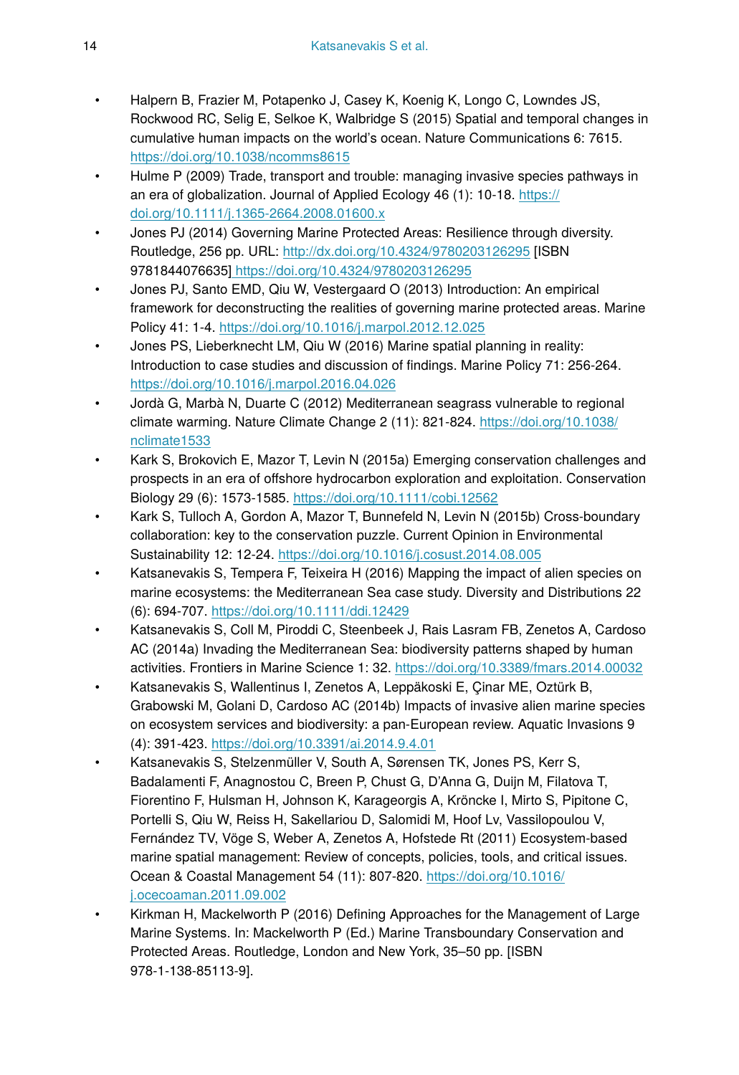- Halpern B, Frazier M, Potapenko J, Casey K, Koenig K, Longo C, Lowndes JS, Rockwood RC, Selig E, Selkoe K, Walbridge S (2015) Spatial and temporal changes in cumulative human impacts on the world's ocean. Nature Communications 6: 7615. <https://doi.org/10.1038/ncomms8615>
- Hulme P (2009) Trade, transport and trouble: managing invasive species pathways in an era of globalization. Journal of Applied Ecology 46 (1): 10-18. [https://](https://doi.org/10.1111/j.1365-2664.2008.01600.x) [doi.org/10.1111/j.1365-2664.2008.01600.x](https://doi.org/10.1111/j.1365-2664.2008.01600.x)
- Jones PJ (2014) Governing Marine Protected Areas: Resilience through diversity. Routledge, 256 pp. URL: <http://dx.doi.org/10.4324/9780203126295> [ISBN 9781844076635]<https://doi.org/10.4324/9780203126295>
- Jones PJ, Santo EMD, Qiu W, Vestergaard O (2013) Introduction: An empirical framework for deconstructing the realities of governing marine protected areas. Marine Policy 41: 1‑4. <https://doi.org/10.1016/j.marpol.2012.12.025>
- Jones PS, Lieberknecht LM, Qiu W (2016) Marine spatial planning in reality: Introduction to case studies and discussion of findings. Marine Policy 71: 256‑264. <https://doi.org/10.1016/j.marpol.2016.04.026>
- Jordà G, Marbà N, Duarte C (2012) Mediterranean seagrass vulnerable to regional climate warming. Nature Climate Change 2 (11): 821-824. [https://doi.org/10.1038/](https://doi.org/10.1038/nclimate1533) [nclimate1533](https://doi.org/10.1038/nclimate1533)
- Kark S, Brokovich E, Mazor T, Levin N (2015a) Emerging conservation challenges and prospects in an era of offshore hydrocarbon exploration and exploitation. Conservation Biology 29 (6): 1573‑1585. <https://doi.org/10.1111/cobi.12562>
- Kark S, Tulloch A, Gordon A, Mazor T, Bunnefeld N, Levin N (2015b) Cross-boundary collaboration: key to the conservation puzzle. Current Opinion in Environmental Sustainability 12: 12‑24.<https://doi.org/10.1016/j.cosust.2014.08.005>
- Katsanevakis S, Tempera F, Teixeira H (2016) Mapping the impact of alien species on marine ecosystems: the Mediterranean Sea case study. Diversity and Distributions 22 (6): 694‑707. <https://doi.org/10.1111/ddi.12429>
- Katsanevakis S, Coll M, Piroddi C, Steenbeek J, Rais Lasram FB, Zenetos A, Cardoso AC (2014a) Invading the Mediterranean Sea: biodiversity patterns shaped by human activities. Frontiers in Marine Science 1: 32. <https://doi.org/10.3389/fmars.2014.00032>
- Katsanevakis S, Wallentinus I, Zenetos A, Leppäkoski E, Çinar ME, Oztürk B, Grabowski M, Golani D, Cardoso AC (2014b) Impacts of invasive alien marine species on ecosystem services and biodiversity: a pan-European review. Aquatic Invasions 9 (4): 391‑423. <https://doi.org/10.3391/ai.2014.9.4.01>
- Katsanevakis S, Stelzenmüller V, South A, Sørensen TK, Jones PS, Kerr S, Badalamenti F, Anagnostou C, Breen P, Chust G, D'Anna G, Duijn M, Filatova T, Fiorentino F, Hulsman H, Johnson K, Karageorgis A, Kröncke I, Mirto S, Pipitone C, Portelli S, Qiu W, Reiss H, Sakellariou D, Salomidi M, Hoof Lv, Vassilopoulou V, Fernández TV, Vöge S, Weber A, Zenetos A, Hofstede Rt (2011) Ecosystem-based marine spatial management: Review of concepts, policies, tools, and critical issues. Ocean & Coastal Management 54 (11): 807‑820. [https://doi.org/10.1016/](https://doi.org/10.1016/j.ocecoaman.2011.09.002) [j.ocecoaman.2011.09.002](https://doi.org/10.1016/j.ocecoaman.2011.09.002)
- Kirkman H, Mackelworth P (2016) Defining Approaches for the Management of Large Marine Systems. In: Mackelworth P (Ed.) Marine Transboundary Conservation and Protected Areas. Routledge, London and New York, 35–50 pp. [ISBN 978-1-138-85113-9].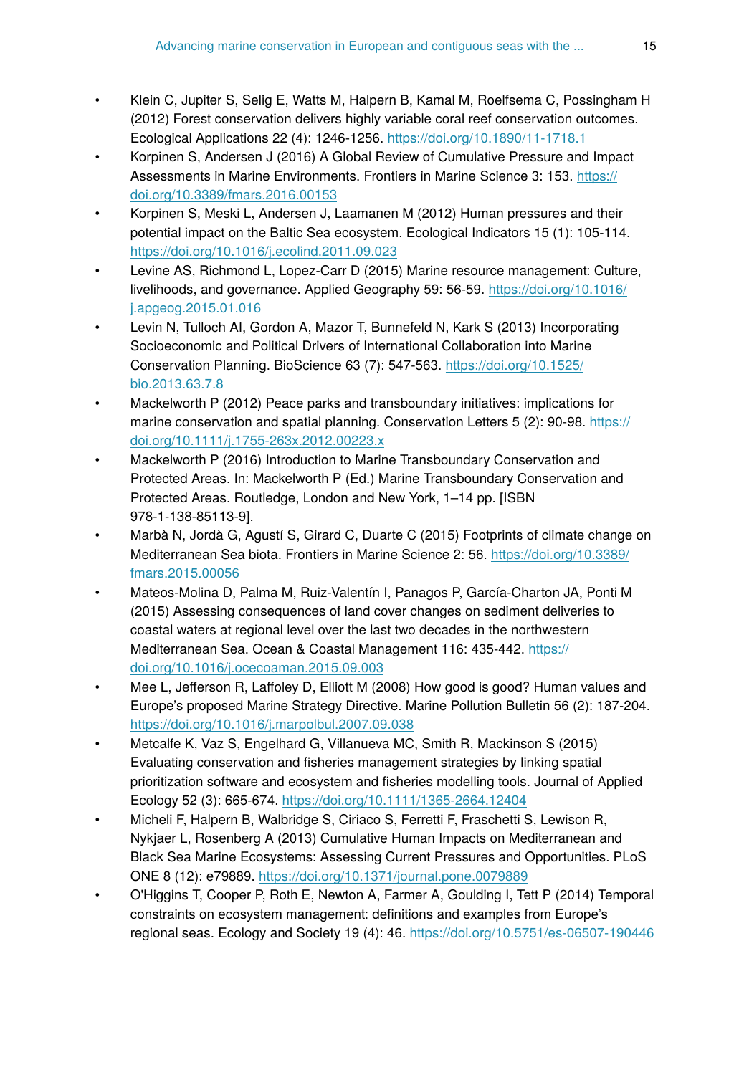- Klein C, Jupiter S, Selig E, Watts M, Halpern B, Kamal M, Roelfsema C, Possingham H (2012) Forest conservation delivers highly variable coral reef conservation outcomes. Ecological Applications 22 (4): 1246‑1256.<https://doi.org/10.1890/11-1718.1>
- Korpinen S, Andersen J (2016) A Global Review of Cumulative Pressure and Impact Assessments in Marine Environments. Frontiers in Marine Science 3: 153. [https://](https://doi.org/10.3389/fmars.2016.00153) [doi.org/10.3389/fmars.2016.00153](https://doi.org/10.3389/fmars.2016.00153)
- Korpinen S, Meski L, Andersen J, Laamanen M (2012) Human pressures and their potential impact on the Baltic Sea ecosystem. Ecological Indicators 15 (1): 105‑114. <https://doi.org/10.1016/j.ecolind.2011.09.023>
- Levine AS, Richmond L, Lopez-Carr D (2015) Marine resource management: Culture, livelihoods, and governance. Applied Geography 59: 56‑59. [https://doi.org/10.1016/](https://doi.org/10.1016/j.apgeog.2015.01.016) [j.apgeog.2015.01.016](https://doi.org/10.1016/j.apgeog.2015.01.016)
- Levin N, Tulloch AI, Gordon A, Mazor T, Bunnefeld N, Kark S (2013) Incorporating Socioeconomic and Political Drivers of International Collaboration into Marine Conservation Planning. BioScience 63 (7): 547‑563. [https://doi.org/10.1525/](https://doi.org/10.1525/bio.2013.63.7.8) [bio.2013.63.7.8](https://doi.org/10.1525/bio.2013.63.7.8)
- Mackelworth P (2012) Peace parks and transboundary initiatives: implications for marine conservation and spatial planning. Conservation Letters 5 (2): 90-98. [https://](https://doi.org/10.1111/j.1755-263x.2012.00223.x) [doi.org/10.1111/j.1755-263x.2012.00223.x](https://doi.org/10.1111/j.1755-263x.2012.00223.x)
- Mackelworth P (2016) Introduction to Marine Transboundary Conservation and Protected Areas. In: Mackelworth P (Ed.) Marine Transboundary Conservation and Protected Areas. Routledge, London and New York, 1–14 pp. [ISBN 978-1-138-85113-9].
- Marbà N, Jordà G, Agustí S, Girard C, Duarte C (2015) Footprints of climate change on Mediterranean Sea biota. Frontiers in Marine Science 2: 56. [https://doi.org/10.3389/](https://doi.org/10.3389/fmars.2015.00056) [fmars.2015.00056](https://doi.org/10.3389/fmars.2015.00056)
- Mateos-Molina D, Palma M, Ruiz-Valentín I, Panagos P, García-Charton JA, Ponti M (2015) Assessing consequences of land cover changes on sediment deliveries to coastal waters at regional level over the last two decades in the northwestern Mediterranean Sea. Ocean & Coastal Management 116: 435-442. [https://](https://doi.org/10.1016/j.ocecoaman.2015.09.003) [doi.org/10.1016/j.ocecoaman.2015.09.003](https://doi.org/10.1016/j.ocecoaman.2015.09.003)
- Mee L, Jefferson R, Laffoley D, Elliott M (2008) How good is good? Human values and Europe's proposed Marine Strategy Directive. Marine Pollution Bulletin 56 (2): 187‑204. <https://doi.org/10.1016/j.marpolbul.2007.09.038>
- Metcalfe K, Vaz S, Engelhard G, Villanueva MC, Smith R, Mackinson S (2015) Evaluating conservation and fisheries management strategies by linking spatial prioritization software and ecosystem and fisheries modelling tools. Journal of Applied Ecology 52 (3): 665‑674.<https://doi.org/10.1111/1365-2664.12404>
- Micheli F, Halpern B, Walbridge S, Ciriaco S, Ferretti F, Fraschetti S, Lewison R, Nykjaer L, Rosenberg A (2013) Cumulative Human Impacts on Mediterranean and Black Sea Marine Ecosystems: Assessing Current Pressures and Opportunities. PLoS ONE 8 (12): e79889. <https://doi.org/10.1371/journal.pone.0079889>
- O'Higgins T, Cooper P, Roth E, Newton A, Farmer A, Goulding I, Tett P (2014) Temporal constraints on ecosystem management: definitions and examples from Europe's regional seas. Ecology and Society 19 (4): 46.<https://doi.org/10.5751/es-06507-190446>